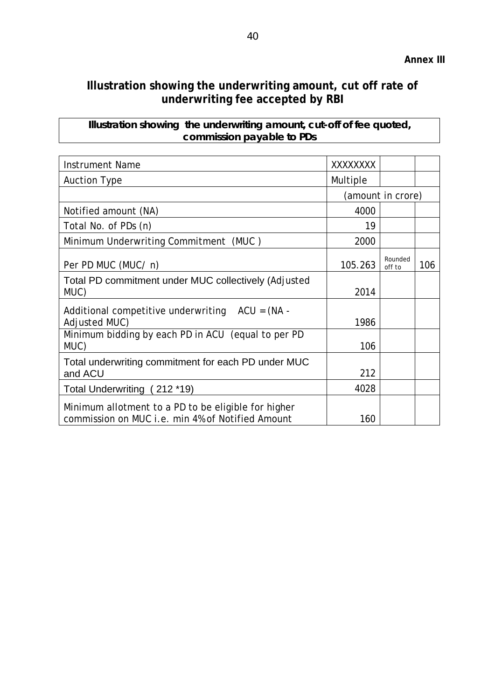## **Illustration showing the underwriting amount, cut off rate of underwriting fee accepted by RBI**

**Illustration showing the underwriting amount, cut-off of fee quoted, commission payable to PDs** 

| <b>Instrument Name</b>                                                                                  | XXXXXXXX          |                   |     |
|---------------------------------------------------------------------------------------------------------|-------------------|-------------------|-----|
| <b>Auction Type</b>                                                                                     | Multiple          |                   |     |
|                                                                                                         | (amount in crore) |                   |     |
| Notified amount (NA)                                                                                    | 4000              |                   |     |
| Total No. of PDs (n)                                                                                    | 19                |                   |     |
| Minimum Underwriting Commitment (MUC)                                                                   | 2000              |                   |     |
| Per PD MUC (MUC/ n)                                                                                     | 105.263           | Rounded<br>off to | 106 |
| Total PD commitment under MUC collectively (Adjusted<br>MUC)                                            | 2014              |                   |     |
| Additional competitive underwriting $ACU = (NA -$<br>Adjusted MUC)                                      | 1986              |                   |     |
| Minimum bidding by each PD in ACU (equal to per PD<br>MUC)                                              | 106               |                   |     |
| Total underwriting commitment for each PD under MUC<br>and ACU                                          | 212               |                   |     |
| Total Underwriting (212 *19)                                                                            | 4028              |                   |     |
| Minimum allotment to a PD to be eligible for higher<br>commission on MUC i.e. min 4% of Notified Amount | 160               |                   |     |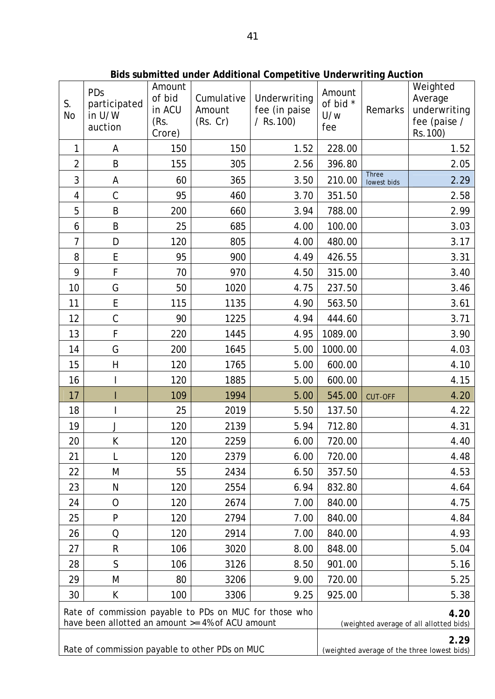| S.<br><b>No</b>                                                                                            | PDs<br>participated<br>in U/W<br>auction | Amount<br>of bid<br>in ACU<br>(Rs.<br>Crore) | Cumulative<br>Amount<br>(Rs. Cr)                | Underwriting<br>fee (in paise<br>$/$ Rs. 100)       | Amount<br>of bid *<br>U/w<br>fee | Remarks                     | Weighted<br>Average<br>underwriting<br>fee (paise /<br>Rs. 100) |
|------------------------------------------------------------------------------------------------------------|------------------------------------------|----------------------------------------------|-------------------------------------------------|-----------------------------------------------------|----------------------------------|-----------------------------|-----------------------------------------------------------------|
| 1                                                                                                          | A                                        | 150                                          | 150                                             | 1.52                                                | 228.00                           |                             | 1.52                                                            |
| $\overline{2}$                                                                                             | B                                        | 155                                          | 305                                             | 2.56                                                | 396.80                           |                             | 2.05                                                            |
| 3                                                                                                          | A                                        | 60                                           | 365                                             | 3.50                                                | 210.00                           | <b>Three</b><br>lowest bids | 2.29                                                            |
| 4                                                                                                          | $\mathsf C$                              | 95                                           | 460                                             | 3.70                                                | 351.50                           |                             | 2.58                                                            |
| 5                                                                                                          | B                                        | 200                                          | 660                                             | 3.94                                                | 788.00                           |                             | 2.99                                                            |
| 6                                                                                                          | B                                        | 25                                           | 685                                             | 4.00                                                | 100.00                           |                             | 3.03                                                            |
| $\overline{7}$                                                                                             | D                                        | 120                                          | 805                                             | 4.00                                                | 480.00                           |                             | 3.17                                                            |
| 8                                                                                                          | E                                        | 95                                           | 900                                             | 4.49                                                | 426.55                           |                             | 3.31                                                            |
| 9                                                                                                          | F                                        | 70                                           | 970                                             | 4.50                                                | 315.00                           |                             | 3.40                                                            |
| 10                                                                                                         | G                                        | 50                                           | 1020                                            | 4.75                                                | 237.50                           |                             | 3.46                                                            |
| 11                                                                                                         | E                                        | 115                                          | 1135                                            | 4.90                                                | 563.50                           |                             | 3.61                                                            |
| 12                                                                                                         | $\mathsf C$                              | 90                                           | 1225                                            | 4.94                                                | 444.60                           |                             | 3.71                                                            |
| 13                                                                                                         | F                                        | 220                                          | 1445                                            | 4.95                                                | 1089.00                          |                             | 3.90                                                            |
| 14                                                                                                         | G                                        | 200                                          | 1645                                            | 5.00                                                | 1000.00                          |                             | 4.03                                                            |
| 15                                                                                                         | H                                        | 120                                          | 1765                                            | 5.00                                                | 600.00                           |                             | 4.10                                                            |
| 16                                                                                                         |                                          | 120                                          | 1885                                            | 5.00                                                | 600.00                           |                             | 4.15                                                            |
| 17                                                                                                         |                                          | 109                                          | 1994                                            | 5.00                                                | 545.00                           | <b>CUT-OFF</b>              | 4.20                                                            |
| 18                                                                                                         |                                          | 25                                           | 2019                                            | 5.50                                                | 137.50                           |                             | 4.22                                                            |
| 19                                                                                                         | J                                        | 120                                          | 2139                                            | 5.94                                                | 712.80                           |                             | 4.31                                                            |
| 20                                                                                                         | K                                        | 120                                          | 2259                                            | 6.00                                                | 720.00                           |                             | 4.40                                                            |
| 21                                                                                                         | L                                        | 120                                          | 2379                                            | 6.00                                                | 720.00                           |                             | 4.48                                                            |
| 22                                                                                                         | M                                        | 55                                           | 2434                                            | 6.50                                                | 357.50                           |                             | 4.53                                                            |
| 23                                                                                                         | N                                        | 120                                          | 2554                                            | 6.94                                                | 832.80                           |                             | 4.64                                                            |
| 24                                                                                                         | $\mathcal{O}$                            | 120                                          | 2674                                            | 7.00                                                | 840.00                           |                             | 4.75                                                            |
| 25                                                                                                         | P                                        | 120                                          | 2794                                            | 7.00                                                | 840.00                           |                             | 4.84                                                            |
| 26                                                                                                         | Q                                        | 120                                          | 2914                                            | 7.00                                                | 840.00                           |                             | 4.93                                                            |
| 27                                                                                                         | $\mathsf R$                              | 106                                          | 3020                                            | 8.00                                                | 848.00                           |                             | 5.04                                                            |
| 28                                                                                                         | $\mathsf{S}$                             | 106                                          | 3126                                            | 8.50                                                | 901.00                           |                             | 5.16                                                            |
| 29                                                                                                         | M                                        | 80                                           | 3206                                            | 9.00                                                | 720.00                           |                             | 5.25                                                            |
| 30                                                                                                         | K                                        | 100                                          | 3306                                            | 9.25                                                | 925.00                           |                             | 5.38                                                            |
| Rate of commission payable to PDs on MUC for those who<br>have been allotted an amount >= 4% of ACU amount |                                          |                                              | 4.20<br>(weighted average of all allotted bids) |                                                     |                                  |                             |                                                                 |
| Rate of commission payable to other PDs on MUC                                                             |                                          |                                              |                                                 | 2.29<br>(weighted average of the three lowest bids) |                                  |                             |                                                                 |

**Bids submitted under Additional Competitive Underwriting Auction**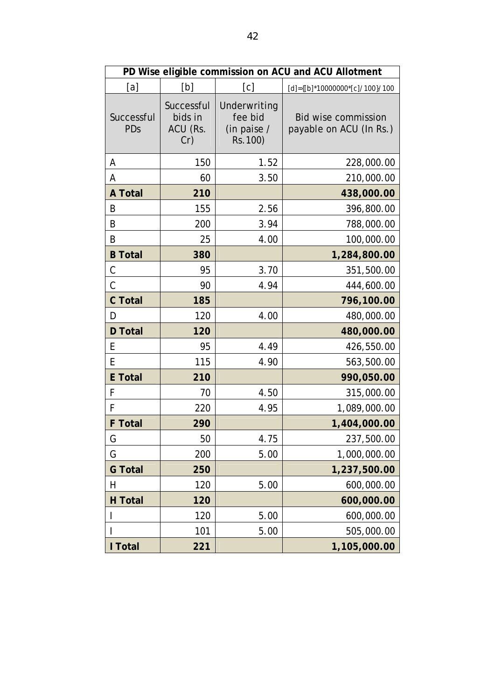| PD Wise eligible commission on ACU and ACU Allotment |                                          |                                                    |                                                       |  |  |  |  |
|------------------------------------------------------|------------------------------------------|----------------------------------------------------|-------------------------------------------------------|--|--|--|--|
| [a]                                                  | [b]                                      | [c]                                                | $[d] = \{ [b]^* 10000000^* [c] / 100 \} / 100$        |  |  |  |  |
| Successful<br>PDs                                    | Successful<br>bids in<br>ACU (Rs.<br>Cr) | Underwriting<br>fee bid<br>(in paise /<br>Rs. 100) | <b>Bid wise commission</b><br>payable on ACU (In Rs.) |  |  |  |  |
| А                                                    | 150                                      | 1.52                                               | 228,000.00                                            |  |  |  |  |
| А                                                    | 60                                       | 3.50                                               | 210,000.00                                            |  |  |  |  |
| <b>A Total</b>                                       | 210                                      |                                                    | 438,000.00                                            |  |  |  |  |
| B                                                    | 155                                      | 2.56                                               | 396,800.00                                            |  |  |  |  |
| B                                                    | 200                                      | 3.94                                               | 788,000.00                                            |  |  |  |  |
| B                                                    | 25                                       | 4.00                                               | 100,000.00                                            |  |  |  |  |
| <b>B</b> Total                                       | 380                                      |                                                    | 1,284,800.00                                          |  |  |  |  |
| С                                                    | 95                                       | 3.70                                               | 351,500.00                                            |  |  |  |  |
| C                                                    | 90                                       | 4.94                                               | 444,600.00                                            |  |  |  |  |
| <b>C</b> Total                                       | 185                                      |                                                    | 796,100.00                                            |  |  |  |  |
| D                                                    | 120                                      | 4.00                                               | 480,000.00                                            |  |  |  |  |
| <b>D</b> Total                                       | 120                                      |                                                    | 480,000.00                                            |  |  |  |  |
| E                                                    | 95                                       | 4.49                                               | 426,550.00                                            |  |  |  |  |
| E                                                    | 115                                      | 4.90                                               | 563,500.00                                            |  |  |  |  |
| <b>E</b> Total                                       | 210                                      |                                                    | 990,050.00                                            |  |  |  |  |
| F                                                    | 70                                       | 4.50                                               | 315,000.00                                            |  |  |  |  |
| F                                                    | 220                                      | 4.95                                               | 1,089,000.00                                          |  |  |  |  |
| <b>F</b> Total                                       | 290                                      |                                                    | 1,404,000.00                                          |  |  |  |  |
| G                                                    | 50                                       | 4.75                                               | 237,500.00                                            |  |  |  |  |
| G                                                    | 200                                      | 5.00                                               | 1,000,000.00                                          |  |  |  |  |
| <b>G</b> Total                                       | 250                                      |                                                    | 1,237,500.00                                          |  |  |  |  |
| Η                                                    | 120                                      | 5.00                                               | 600,000.00                                            |  |  |  |  |
| <b>H</b> Total                                       | 120                                      |                                                    | 600,000.00                                            |  |  |  |  |
|                                                      | 120                                      | 5.00                                               | 600,000.00                                            |  |  |  |  |
|                                                      | 101                                      | 5.00                                               | 505,000.00                                            |  |  |  |  |
| I Total                                              | 221                                      |                                                    | 1,105,000.00                                          |  |  |  |  |